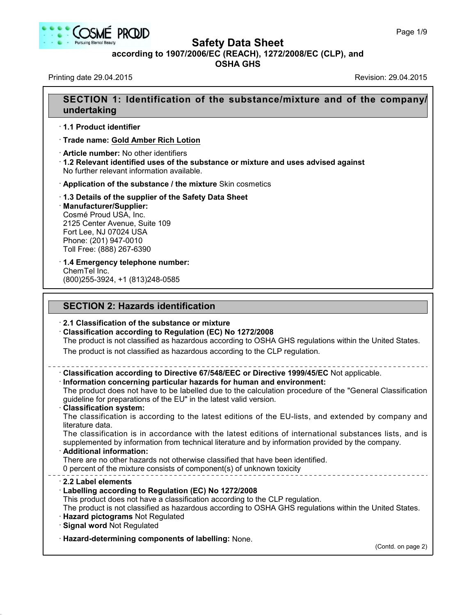



**Safety Data Sheet**

**according to 1907/2006/EC (REACH), 1272/2008/EC (CLP),and**

**OSHA GHS**

Printing date 29.04.2015 **Revision: 29.04.2015** Revision: 29.04.2015

40.1.5

# **SECTION 1: Identification of the substance/mixture and of the company/ undertaking** · **1.1 Product identifier** · **Trade name: Gold Amber Rich Lotion** · **Article number:** No other identifiers · **1.2 Relevant identified uses of the substance ormixture and uses advised against** No further relevant information available. · **Application of the substance / the mixture** Skin cosmetics · **1.3 Details of the supplier of the Safety Data Sheet** · **Manufacturer/Supplier:** Cosmé Proud USA, Inc. 2125 Center Avenue, Suite 109 Fort Lee, NJ 07024 USA Phone: (201) 947-0010 Toll Free: (888) 267-6390 · **1.4 Emergency telephone number:** ChemTel Inc. (800)255-3924, +1 (813)248-0585 **SECTION 2: Hazards identification** · **2.1 Classification of the substance or mixture** · **Classification according to Regulation (EC) No 1272/2008** The product is not classified as hazardous according to OSHA GHS regulations within the United States. The product is not classified as hazardous according to the CLP regulation. · **Classification according to Directive 67/548/EEC or Directive 1999/45/EC** Not applicable. · **Information concerning particular hazards for human and environment:** The product does not have to be labelled due to the calculation procedure of the "General Classification guideline for preparations of the EU" in the latest valid version. · **Classification system:** The classification is according to the latest editions of the EU-lists, and extended by company and literature data. The classification is in accordance with the latest editions of international substances lists, and is supplemented by information from technical literature and by information provided by the company. · **Additional information:** There are no other hazards not otherwise classified that have been identified. 0 percent of the mixture consists of component(s) of unknown toxicity · **2.2 Label elements** · **Labelling according to Regulation (EC) No 1272/2008** This product does not have a classification according to the CLP regulation. The product is not classified as hazardous according to OSHA GHS regulations within the United States. · **Hazard pictograms** Not Regulated · **Signal word** Not Regulated · **Hazard-determining components of labelling:** None. (Contd. on page 2)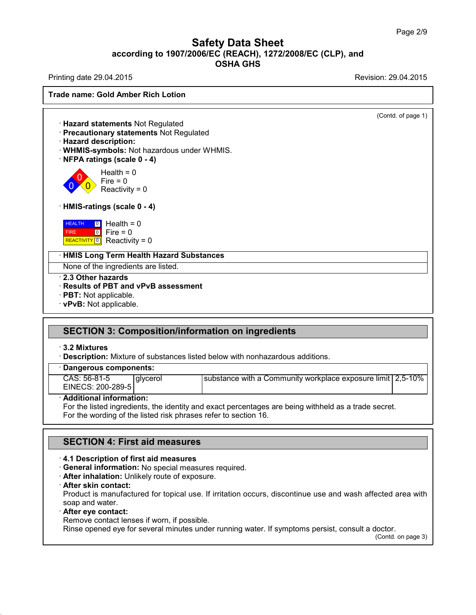Printing date 29.04.2015 **Printing date 29.04.2015** 

**Trade name: Gold Amber Rich Lotion** (Contd. of page 1) · **Hazard statements** Not Regulated · **Precautionary statements** Not Regulated · **Hazard description:** · **WHMIS-symbols:** Not hazardous under WHMIS. · **NFPA ratings (scale 0 - 4)**  $\overline{0}$  Reactivity = 0  $\sum_{n=1}^{\infty}$  Fire = 0 Health  $= 0$ · **HMIS-ratings (scale 0 - 4)** HEALTH FIRE **REALTH | 0** Health = 0<br>FIRE | 0 | Fire = 0<br>| REACTIVITY <mark>0</mark> | Reactivity = 0  $\boxed{0}$  Health = 0 0 Fire = 0 · **HMIS Long Term Health Hazard Substances** None of the ingredients are listed. · **2.3 Other hazards** · **Results of PBT and vPvB assessment** · **PBT:** Not applicable. · **vPvB:** Not applicable.

# **SECTION 3: Composition/information on ingredients**

## · **3.2 Mixtures**

· **Description:** Mixture of substances listed below with nonhazardous additions.

## · **Dangerous components:**

| CAS: 56-81-5      | alvcerol | substance with a Community workplace exposure limit $\frac{2.5 - 10\%}{2.5}$ |  |  |
|-------------------|----------|------------------------------------------------------------------------------|--|--|
| EINECS: 200-289-5 |          |                                                                              |  |  |

## · **Additional information:**

For the listed ingredients, the identity and exact percentages are being withheld as a trade secret. For the wording of the listed risk phrases refer to section 16.

## **SECTION 4: First aid measures**

## · **4.1 Description of first aid measures**

· **General information:** No special measures required.

· **After inhalation:** Unlikely route of exposure.

#### · **After skin contact:**

Product is manufactured for topical use. If irritation occurs, discontinue use and wash affected area with soap and water.

## · **After eye contact:**

40.1.5

Remove contact lenses if worn, if possible.

Rinse opened eye for several minutes under running water. If symptoms persist, consult a doctor.

(Contd. on page 3)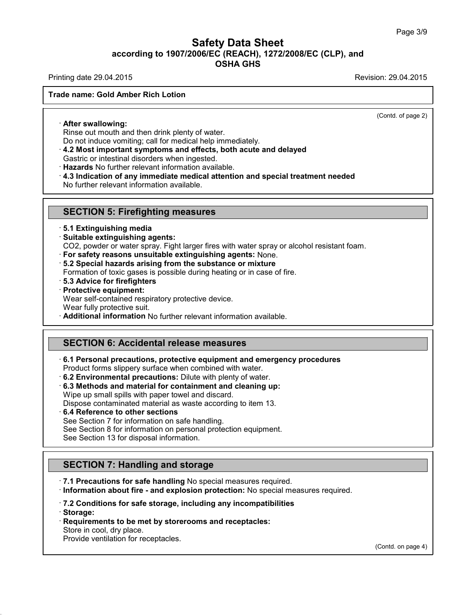Printing date 29.04.2015 **Printing date 29.04.2015** 

## **Trade name: Gold Amber Rich Lotion**

(Contd. of page 2)

· **After swallowing:**

Rinse out mouth and then drink plenty of water.

Do not induce vomiting; call for medical help immediately.

· **4.2 Most important symptoms and effects, both acute and delayed**

Gastric or intestinal disorders when ingested.

· **Hazards** No further relevant information available.

· **4.3 Indication of any immediate medical attention and special treatment needed**

No further relevant information available.

## **SECTION 5: Firefighting measures**

· **5.1 Extinguishing media**

· **Suitable extinguishing agents:**

CO2, powder or water spray. Fight larger fires with water spray or alcohol resistant foam.

· **For safety reasons unsuitable extinguishing agents:** None.

· **5.2 Special hazards arising from the substance ormixture**

Formation of toxic gases is possible during heating or in case of fire.

- · **5.3 Advice for firefighters**
- · **Protective equipment:**

Wear self-contained respiratory protective device.

Wear fully protective suit.

· **Additional information** No further relevant information available.

# **SECTION 6: Accidental release measures**

· **6.1 Personal precautions, protective equipment and emergency procedures** Product forms slippery surface when combined with water.

- · **6.2 Environmental precautions:** Dilute with plenty of water.
- · **6.3 Methods and material for containment and cleaning up:** Wipe up small spills with paper towel and discard.

Dispose contaminated material as waste according to item 13.

· **6.4 Reference to other sections**

40.1.5

See Section 7 for information on safe handling.

See Section 8 for information on personal protection equipment.

See Section 13 for disposal information.

# **SECTION 7: Handling and storage**

· **7.1 Precautions for safe handling** No special measures required.

· **Information about fire - and explosion protection:** No special measures required.

· **7.2 Conditions for safe storage, including any incompatibilities** · **Storage:**

· **Requirements to be met by storerooms and receptacles:** Store in cool, dry place. Provide ventilation for receptacles.

(Contd. on page 4)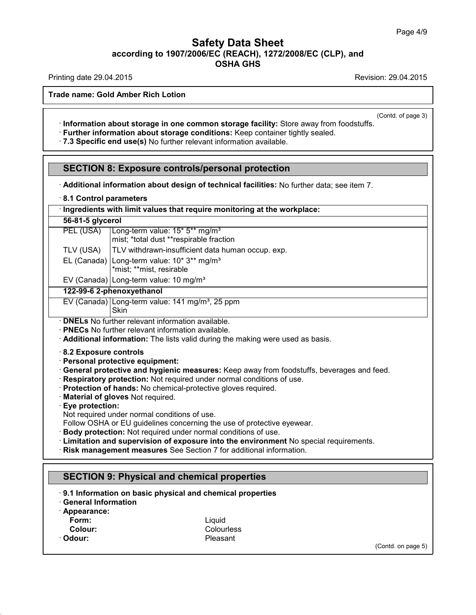Printing date 29.04.2015 **Printing date 29.04.2015** 

**Trade name: Gold Amber Rich Lotion**

(Contd. of page 3)

- · **Information about storage in one common storage facility:** Store away from foodstuffs.
- · **Further information about storage conditions:** Keep container tightly sealed.
- · **7.3 Specific end use(s)** No further relevant information available.

# **SECTION 8: Exposure controls/personal protection**

· **Additional information about design of technical facilities:** No further data; see item 7.

## · **8.1 Control parameters**

| Ingredients with limit values that require monitoring at the workplace: |
|-------------------------------------------------------------------------|
|-------------------------------------------------------------------------|

#### **56-81-5 glycerol**

|         | mist; *total dust **respirable fraction |  |
|---------|-----------------------------------------|--|
| T111101 | $\Box$ $\Box$                           |  |

- TLV (USA) TLV withdrawn-insufficient data human occup. exp.
- EL (Canada) | Long-term value: 10\* 3\*\* mg/m<sup>3</sup> \*mist; \*\*mist, resirable

PEL (USA) | Long-term value: 15<sup>\*</sup> 5<sup>\*\*</sup> mg/m<sup>3</sup>

EV (Canada) Long-term value:  $10 \text{ mg/m}^3$ 

## **122-99-6 2-phenoxyethanol**

EV (Canada) Long-term value:  $141$  mg/m<sup>3</sup>, 25 ppm Skin

· **DNELs** No further relevant information available.

· **PNECs** No further relevant information available.

· **Additional information:** The lists valid during the making were used as basis.

· **8.2 Exposure controls**

- · **Personal protective equipment:**
- · **General protective and hygienic measures:** Keep away from foodstuffs, beverages and feed.
- · **Respiratory protection:** Not required under normal conditions of use.
- · **Protection of hands:** No chemical-protective gloves required.
- · **Material of gloves** Not required.
- · **Eye protection:**
- Not required under normal conditions of use.
- Follow OSHA or EU guidelines concerning the use of protective eyewear.
- · **Body protection:** Not required under normal conditions of use.
- · **Limitation and supervision of exposure into the environment** No special requirements.
- · **Risk management measures** See Section 7 for additional information.

# **SECTION 9: Physical and chemical properties**

- · **9.1 Information on basic physical and chemical properties**
- · **General Information**
- · **Appearance:**
- 
- 
- 

40.1.5

**Form:** Liquid **Colour:** Colourless<br>
Colour: Pleasant<br>
Colour: Pleasant · **Odour:** Pleasant

(Contd. on page 5)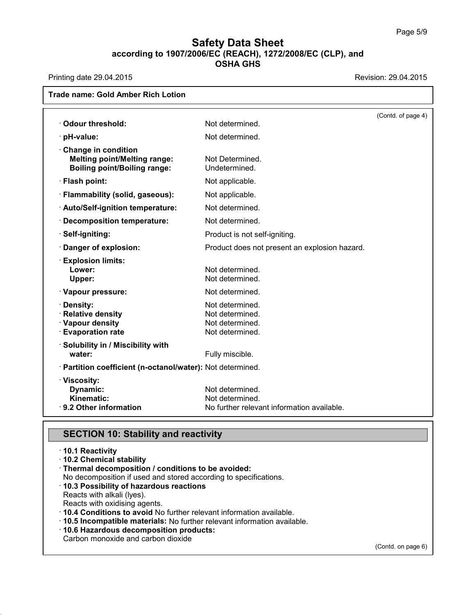Printing date 29.04.2015 **Revision: 29.04.2015** 

| Odour threshold:                                                                                  | Not determined.                                                                  | (Contd. of page 4) |
|---------------------------------------------------------------------------------------------------|----------------------------------------------------------------------------------|--------------------|
|                                                                                                   |                                                                                  |                    |
| · pH-value:                                                                                       | Not determined.                                                                  |                    |
| Change in condition<br><b>Melting point/Melting range:</b><br><b>Boiling point/Boiling range:</b> | Not Determined.<br>Undetermined.                                                 |                    |
| · Flash point:                                                                                    | Not applicable.                                                                  |                    |
| · Flammability (solid, gaseous):                                                                  | Not applicable.                                                                  |                    |
| · Auto/Self-ignition temperature:                                                                 | Not determined.                                                                  |                    |
| Decomposition temperature:                                                                        | Not determined.                                                                  |                    |
| · Self-igniting:                                                                                  | Product is not self-igniting.                                                    |                    |
| Danger of explosion:                                                                              | Product does not present an explosion hazard.                                    |                    |
| <b>Explosion limits:</b><br>Lower:<br>Upper:                                                      | Not determined.<br>Not determined.                                               |                    |
| · Vapour pressure:                                                                                | Not determined.                                                                  |                    |
| · Density:<br>· Relative density<br>· Vapour density<br><b>Evaporation rate</b>                   | Not determined.<br>Not determined.<br>Not determined.<br>Not determined.         |                    |
| · Solubility in / Miscibility with<br>water:                                                      | Fully miscible.                                                                  |                    |
| · Partition coefficient (n-octanol/water): Not determined.                                        |                                                                                  |                    |
| · Viscosity:<br>Dynamic:<br>Kinematic:<br>· 9.2 Other information                                 | Not determined.<br>Not determined.<br>No further relevant information available. |                    |

# **SECTION 10: Stability and reactivity**

|  |  | $\cdot$ 10.1 Reactivity |  |
|--|--|-------------------------|--|
|--|--|-------------------------|--|

40.1.5

- · **10.2 Chemical stability**
- · **Thermal decomposition / conditions to be avoided:**
- No decomposition if used and stored according to specifications.
- · **10.3 Possibility of hazardous reactions**
- Reacts with alkali (lyes).
- Reacts with oxidising agents.
- · **10.4 Conditions to avoid** No further relevant information available.
- · **10.5 Incompatible materials:** No further relevant information available.
- · **10.6 Hazardous decomposition products:**

Carbon monoxide and carbon dioxide

(Contd. on page 6)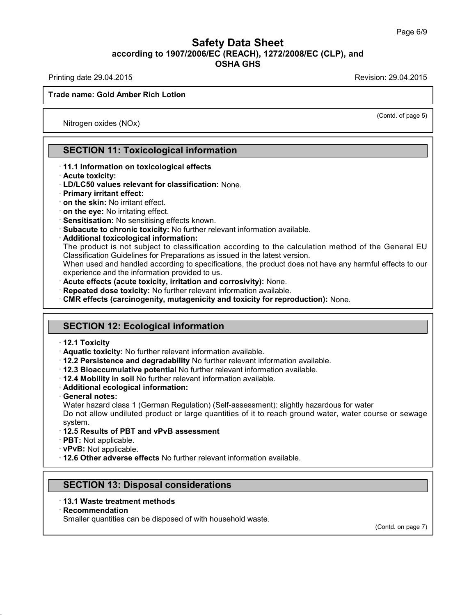Printing date 29.04.2015 **Printing date 29.04.2015** 

(Contd. of page 5)

## **Trade name: Gold Amber Rich Lotion**

Nitrogen oxides (NOx)

## **SECTION 11: Toxicological information**

#### · **11.1 Information on toxicological effects**

- · **Acute toxicity:**
- · **LD/LC50 values relevant for classification:** None.
- · **Primary irritant effect:**
- · **on the skin:** No irritant effect.
- · **on the eye:** No irritating effect.
- · **Sensitisation:** No sensitising effects known.
- · **Subacute to chronic toxicity:** No further relevant information available.
- · **Additional toxicological information:**

The product is not subject to classification according to the calculation method of the General EU Classification Guidelines for Preparations as issued in the latest version.

When used and handled according to specifications, the product does not have any harmful effects to our experience and the information provided to us.

- · **Acute effects (acute toxicity, irritation and corrosivity):** None.
- · **Repeated dose toxicity:** No further relevant information available.
- · **CMR effects (carcinogenity, mutagenicity and toxicity for reproduction):** None.

## **SECTION 12: Ecological information**

- · **12.1 Toxicity**
- · **Aquatic toxicity:** No further relevant information available.
- · **12.2 Persistence and degradability** No further relevant information available.
- · **12.3 Bioaccumulative potential** No further relevant information available.
- · **12.4 Mobility in soil** No further relevant information available.
- · **Additional ecological information:**
- · **General notes:**
- Water hazard class 1 (German Regulation) (Self-assessment): slightly hazardous for water

Do not allow undiluted product or large quantities of it to reach ground water, water course or sewage system.

- · **12.5 Results of PBT and vPvB assessment**
- · **PBT:** Not applicable.
- · **vPvB:** Not applicable.

· **12.6 Other adverse effects** No further relevant information available.

## **SECTION 13: Disposal considerations**

· **13.1 Waste treatment methods**

#### · **Recommendation**

40.1.5

Smaller quantities can be disposed of with household waste.

(Contd. on page 7)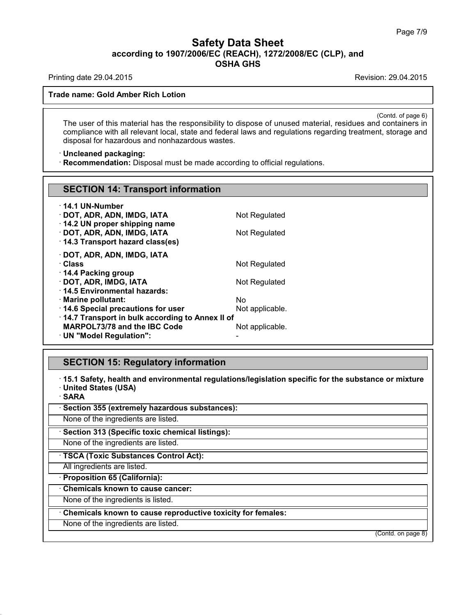Printing date 29.04.2015 **Printing date 29.04.2015** 

**Trade name: Gold Amber Rich Lotion**

(Contd. of page 6) The user of this material has the responsibility to dispose of unused material, residues and containers in compliance with all relevant local, state and federal laws and regulations regarding treatment, storage and disposal for hazardous and nonhazardous wastes.

## · **Uncleaned packaging:**

· **Recommendation:** Disposal must be made according to official regulations.

| <b>SECTION 14: Transport information</b>                                               |                 |
|----------------------------------------------------------------------------------------|-----------------|
| · 14.1 UN-Number                                                                       |                 |
| · DOT, ADR, ADN, IMDG, IATA                                                            | Not Regulated   |
| 14.2 UN proper shipping name                                                           |                 |
| · DOT, ADR, ADN, IMDG, IATA<br>14.3 Transport hazard class(es)                         | Not Regulated   |
|                                                                                        |                 |
| · DOT, ADR, ADN, IMDG, IATA                                                            |                 |
| · Class<br>14.4 Packing group                                                          | Not Regulated   |
| · DOT, ADR, IMDG, IATA                                                                 | Not Regulated   |
| 14.5 Environmental hazards:                                                            |                 |
| · Marine pollutant:                                                                    | No.             |
| 14.6 Special precautions for user                                                      | Not applicable. |
| 14.7 Transport in bulk according to Annex II of<br><b>MARPOL73/78 and the IBC Code</b> |                 |
| · UN "Model Regulation":                                                               | Not applicable. |
|                                                                                        |                 |

# **SECTION 15: Regulatory information**

· **15.1 Safety, health and environmental regulations/legislation specific for the substance ormixture** · **United States (USA)**

· **SARA**

40.1.5

· **Section 355 (extremely hazardous substances):**

None of the ingredients are listed.

· **Section 313 (Specific toxic chemical listings):**

None of the ingredients are listed.

· **TSCA (Toxic Substances Control Act):**

All ingredients are listed.

· **Proposition 65 (California):**

· **Chemicals known to cause cancer:**

None of the ingredients is listed.

· **Chemicals known to cause reproductive toxicity for females:**

None of the ingredients are listed.

(Contd. on page 8)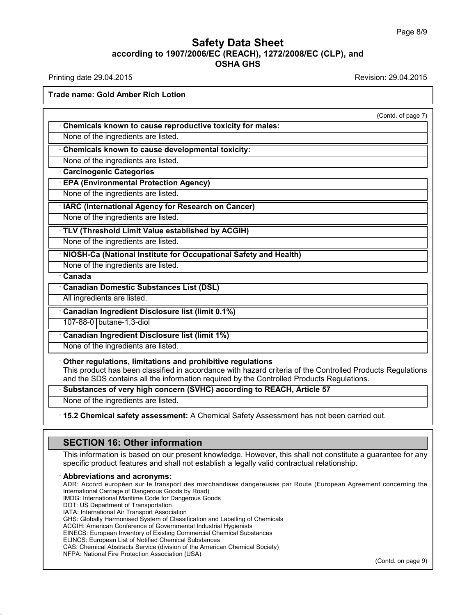Printing date 29.04.2015 **Revision: 29.04.2015** Revision: 29.04.2015

**Trade name: Gold Amber Rich Lotion**

(Contd. of page 7)

| Chemicals known to cause reproductive toxicity for males:                                                                                                                                                                                                             |
|-----------------------------------------------------------------------------------------------------------------------------------------------------------------------------------------------------------------------------------------------------------------------|
| None of the ingredients are listed.                                                                                                                                                                                                                                   |
| Chemicals known to cause developmental toxicity:                                                                                                                                                                                                                      |
| None of the ingredients are listed.                                                                                                                                                                                                                                   |
| <b>Carcinogenic Categories</b>                                                                                                                                                                                                                                        |
| <b>EPA (Environmental Protection Agency)</b>                                                                                                                                                                                                                          |
| None of the ingredients are listed.                                                                                                                                                                                                                                   |
| · IARC (International Agency for Research on Cancer)                                                                                                                                                                                                                  |
| None of the ingredients are listed.                                                                                                                                                                                                                                   |
| TLV (Threshold Limit Value established by ACGIH)                                                                                                                                                                                                                      |
| None of the ingredients are listed.                                                                                                                                                                                                                                   |
| · NIOSH-Ca (National Institute for Occupational Safety and Health)                                                                                                                                                                                                    |
| None of the ingredients are listed.                                                                                                                                                                                                                                   |
| · Canada                                                                                                                                                                                                                                                              |
| <b>Canadian Domestic Substances List (DSL)</b>                                                                                                                                                                                                                        |
| All ingredients are listed.                                                                                                                                                                                                                                           |
| Canadian Ingredient Disclosure list (limit 0.1%)                                                                                                                                                                                                                      |
| 107-88-0 butane-1,3-diol                                                                                                                                                                                                                                              |
| <b>Canadian Ingredient Disclosure list (limit 1%)</b>                                                                                                                                                                                                                 |
| None of the ingredients are listed.                                                                                                                                                                                                                                   |
| Other regulations, limitations and prohibitive regulations<br>This product has been classified in accordance with hazard criteria of the Controlled Products Regulations<br>and the SDS contains all the information required by the Controlled Products Regulations. |
| Substances of very high concern (SVHC) according to REACH, Article 57                                                                                                                                                                                                 |

None of the ingredients are listed.

40.1.5

· **15.2 Chemical safety assessment:** A Chemical Safety Assessment has not been carried out.

# **SECTION 16: Other information**

This information is based on our present knowledge. However, this shall not constitute a guarantee for any specific product features and shall not establish a legally valid contractual relationship.

· **Abbreviations and acronyms:** ADR: Accord européen sur le transport des marchandises dangereuses par Route (European Agreement concerning the International Carriage of Dangerous Goods by Road) IMDG: International Maritime Code for Dangerous Goods DOT: US Department of Transportation IATA: International Air Transport Association GHS: Globally Harmonised System of Classification and Labelling of Chemicals ACGIH: American Conference of Governmental Industrial Hygienists EINECS: European Inventory of Existing Commercial Chemical Substances ELINCS: European List of Notified Chemical Substances CAS: Chemical Abstracts Service (division of the American Chemical Society) NFPA: National Fire Protection Association (USA) (Contd. on page 9)